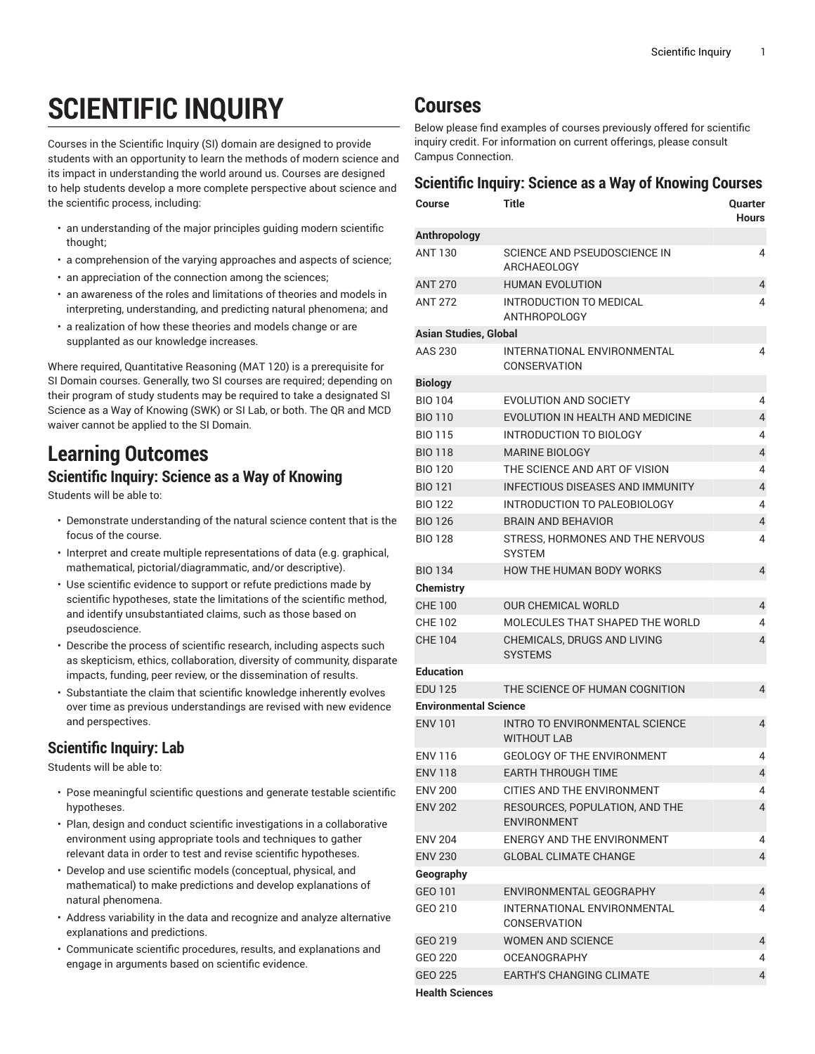# **SCIENTIFIC INQUIRY**

Courses in the Scientific Inquiry (SI) domain are designed to provide students with an opportunity to learn the methods of modern science and its impact in understanding the world around us. Courses are designed to help students develop a more complete perspective about science and the scientific process, including:

- an understanding of the major principles guiding modern scientific thought;
- a comprehension of the varying approaches and aspects of science;
- an appreciation of the connection among the sciences;
- an awareness of the roles and limitations of theories and models in interpreting, understanding, and predicting natural phenomena; and
- a realization of how these theories and models change or are supplanted as our knowledge increases.

Where required, Quantitative Reasoning (MAT 120) is a prerequisite for SI Domain courses. Generally, two SI courses are required; depending on their program of study students may be required to take a designated SI Science as a Way of Knowing (SWK) or SI Lab, or both. The QR and MCD waiver cannot be applied to the SI Domain.

## **Learning Outcomes Scientific Inquiry: Science as a Way of Knowing**

Students will be able to:

- Demonstrate understanding of the natural science content that is the focus of the course.
- Interpret and create multiple representations of data (e.g. graphical, mathematical, pictorial/diagrammatic, and/or descriptive).
- Use scientific evidence to support or refute predictions made by scientific hypotheses, state the limitations of the scientific method, and identify unsubstantiated claims, such as those based on pseudoscience.
- Describe the process of scientific research, including aspects such as skepticism, ethics, collaboration, diversity of community, disparate impacts, funding, peer review, or the dissemination of results.
- Substantiate the claim that scientific knowledge inherently evolves over time as previous understandings are revised with new evidence and perspectives.

### **Scientific Inquiry: Lab**

Students will be able to:

- Pose meaningful scientific questions and generate testable scientific hypotheses.
- Plan, design and conduct scientific investigations in a collaborative environment using appropriate tools and techniques to gather relevant data in order to test and revise scientific hypotheses.
- Develop and use scientific models (conceptual, physical, and mathematical) to make predictions and develop explanations of natural phenomena.
- Address variability in the data and recognize and analyze alternative explanations and predictions.
- Communicate scientific procedures, results, and explanations and engage in arguments based on scientific evidence.

## **Courses**

Below please find examples of courses previously offered for scientific inquiry credit. For information on current offerings, please consult Campus Connection.

#### **Scientific Inquiry: Science as a Way of Knowing Courses**

| <b>Course</b>                | Title                                                | Quarter<br><b>Hours</b> |
|------------------------------|------------------------------------------------------|-------------------------|
| Anthropology                 |                                                      |                         |
| <b>ANT 130</b>               | SCIENCE AND PSEUDOSCIENCE IN<br>ARCHAEOLOGY          | 4                       |
| <b>ANT 270</b>               | <b>HUMAN EVOLUTION</b>                               | 4                       |
| <b>ANT 272</b>               | INTRODUCTION TO MEDICAL<br><b>ANTHROPOLOGY</b>       | 4                       |
| <b>Asian Studies, Global</b> |                                                      |                         |
| AAS 230                      | INTERNATIONAL ENVIRONMENTAL<br>CONSERVATION          | 4                       |
| <b>Biology</b>               |                                                      |                         |
| <b>BIO 104</b>               | <b>EVOLUTION AND SOCIETY</b>                         | 4                       |
| <b>BIO 110</b>               | EVOLUTION IN HEALTH AND MEDICINE                     | $\overline{4}$          |
| <b>BIO 115</b>               | INTRODUCTION TO BIOLOGY                              | 4                       |
| <b>BIO 118</b>               | <b>MARINE BIOLOGY</b>                                | 4                       |
| <b>BIO 120</b>               | THE SCIENCE AND ART OF VISION                        | 4                       |
| <b>BIO 121</b>               | <b>INFECTIOUS DISEASES AND IMMUNITY</b>              | 4                       |
| <b>BIO 122</b>               | INTRODUCTION TO PALEOBIOLOGY                         | 4                       |
| <b>BIO 126</b>               | <b>BRAIN AND BEHAVIOR</b>                            | 4                       |
| <b>BIO 128</b>               | STRESS. HORMONES AND THE NERVOUS<br><b>SYSTEM</b>    | 4                       |
| <b>BIO 134</b>               | <b>HOW THE HUMAN BODY WORKS</b>                      | 4                       |
| Chemistry                    |                                                      |                         |
| <b>CHE 100</b>               | <b>OUR CHEMICAL WORLD</b>                            | 4                       |
| <b>CHE 102</b>               | MOLECULES THAT SHAPED THE WORLD                      | 4                       |
| <b>CHE 104</b>               | CHEMICALS, DRUGS AND LIVING<br><b>SYSTEMS</b>        | 4                       |
| <b>Education</b>             |                                                      |                         |
| <b>EDU 125</b>               | THE SCIENCE OF HUMAN COGNITION                       | 4                       |
| <b>Environmental Science</b> |                                                      |                         |
| <b>ENV 101</b>               | INTRO TO ENVIRONMENTAL SCIENCE<br><b>WITHOUT LAB</b> | 4                       |
| <b>ENV 116</b>               | <b>GEOLOGY OF THE ENVIRONMENT</b>                    | 4                       |
| <b>ENV 118</b>               | <b>EARTH THROUGH TIME</b>                            | 4                       |
| <b>ENV 200</b>               | CITIES AND THE ENVIRONMENT                           | 4                       |
| <b>ENV 202</b>               | RESOURCES, POPULATION, AND THE<br><b>ENVIRONMENT</b> | $\overline{4}$          |
| <b>ENV 204</b>               | ENERGY AND THE ENVIRONMENT                           | 4                       |
| <b>ENV 230</b>               | <b>GLOBAL CLIMATE CHANGE</b>                         | $\overline{4}$          |
| Geography                    |                                                      |                         |
| GEO 101                      | ENVIRONMENTAL GEOGRAPHY                              | 4                       |
| GEO 210                      | INTERNATIONAL ENVIRONMENTAL<br>CONSERVATION          | 4                       |
| GEO 219                      | <b>WOMEN AND SCIENCE</b>                             | 4                       |
| GEO 220                      | <b>OCEANOGRAPHY</b>                                  | 4                       |
| GEO 225                      | <b>EARTH'S CHANGING CLIMATE</b>                      | 4                       |
| <b>Health Sciences</b>       |                                                      |                         |